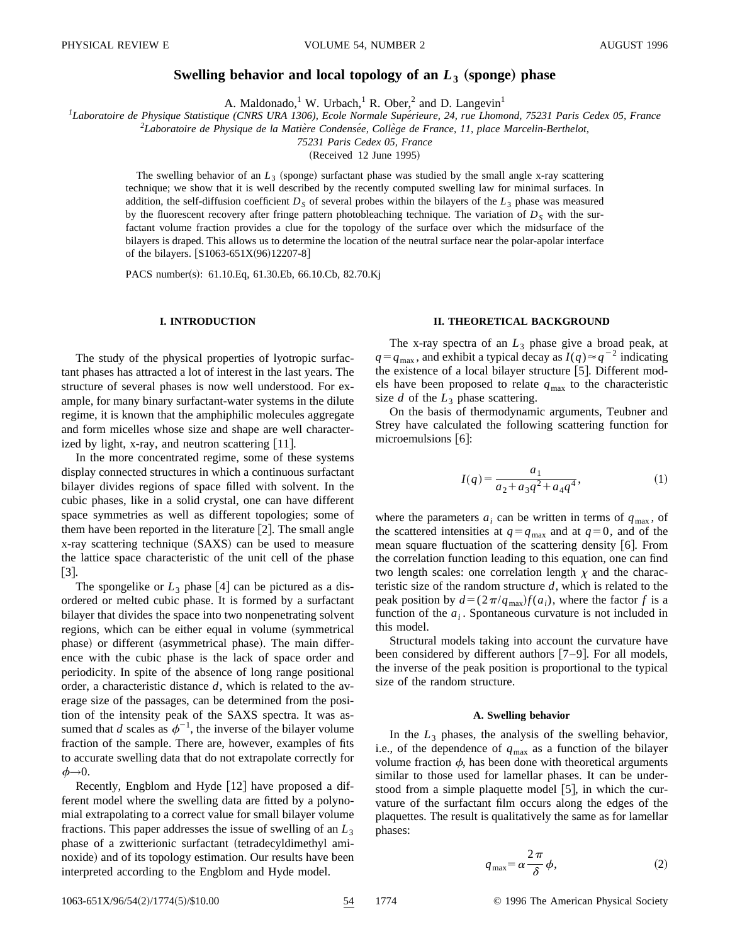# **Swelling behavior and local topology of an**  $L_3$  **(sponge) phase**

A. Maldonado,<sup>1</sup> W. Urbach,<sup>1</sup> R. Ober,<sup>2</sup> and D. Langevin<sup>1</sup>

<sup>1</sup>Laboratoire de Physique Statistique (CNRS URA 1306), Ecole Normale Supérieure, 24, rue Lhomond, 75231 Paris Cedex 05, France

<sup>2</sup> Laboratoire de Physique de la Matière Condensée, Collège de France, 11, place Marcelin-Berthelot,

*75231 Paris Cedex 05, France*

 $(Received 12 June 1995)$ 

The swelling behavior of an  $L_3$  (sponge) surfactant phase was studied by the small angle x-ray scattering technique; we show that it is well described by the recently computed swelling law for minimal surfaces. In addition, the self-diffusion coefficient  $D<sub>S</sub>$  of several probes within the bilayers of the  $L<sub>3</sub>$  phase was measured by the fluorescent recovery after fringe pattern photobleaching technique. The variation of  $D<sub>S</sub>$  with the surfactant volume fraction provides a clue for the topology of the surface over which the midsurface of the bilayers is draped. This allows us to determine the location of the neutral surface near the polar-apolar interface of the bilayers.  $[S1063-651X(96)12207-8]$ 

PACS number(s): 61.10.Eq, 61.30.Eb, 66.10.Cb, 82.70.Kj

# **I. INTRODUCTION**

The study of the physical properties of lyotropic surfactant phases has attracted a lot of interest in the last years. The structure of several phases is now well understood. For example, for many binary surfactant-water systems in the dilute regime, it is known that the amphiphilic molecules aggregate and form micelles whose size and shape are well characterized by light, x-ray, and neutron scattering  $[11]$ .

In the more concentrated regime, some of these systems display connected structures in which a continuous surfactant bilayer divides regions of space filled with solvent. In the cubic phases, like in a solid crystal, one can have different space symmetries as well as different topologies; some of them have been reported in the literature  $[2]$ . The small angle x-ray scattering technique (SAXS) can be used to measure the lattice space characteristic of the unit cell of the phase  $|3|$ .

The spongelike or  $L_3$  phase [4] can be pictured as a disordered or melted cubic phase. It is formed by a surfactant bilayer that divides the space into two nonpenetrating solvent regions, which can be either equal in volume (symmetrical phase) or different (asymmetrical phase). The main difference with the cubic phase is the lack of space order and periodicity. In spite of the absence of long range positional order, a characteristic distance *d*, which is related to the average size of the passages, can be determined from the position of the intensity peak of the SAXS spectra. It was assumed that *d* scales as  $\phi^{-1}$ , the inverse of the bilayer volume fraction of the sample. There are, however, examples of fits to accurate swelling data that do not extrapolate correctly for  $\phi \rightarrow 0$ .

Recently, Engblom and Hyde  $[12]$  have proposed a different model where the swelling data are fitted by a polynomial extrapolating to a correct value for small bilayer volume fractions. This paper addresses the issue of swelling of an  $L_3$ phase of a zwitterionic surfactant (tetradecyldimethyl aminoxide) and of its topology estimation. Our results have been interpreted according to the Engblom and Hyde model.

# **II. THEORETICAL BACKGROUND**

The x-ray spectra of an  $L_3$  phase give a broad peak, at  $q = q_{\text{max}}$ , and exhibit a typical decay as  $I(q) \approx q^{-2}$  indicating the existence of a local bilayer structure  $[5]$ . Different models have been proposed to relate  $q_{\text{max}}$  to the characteristic size  $d$  of the  $L_3$  phase scattering.

On the basis of thermodynamic arguments, Teubner and Strey have calculated the following scattering function for microemulsions  $[6]$ :

$$
I(q) = \frac{a_1}{a_2 + a_3 q^2 + a_4 q^4},
$$
 (1)

where the parameters  $a_i$  can be written in terms of  $q_{\text{max}}$ , of the scattered intensities at  $q = q_{\text{max}}$  and at  $q = 0$ , and of the mean square fluctuation of the scattering density  $[6]$ . From the correlation function leading to this equation, one can find two length scales: one correlation length  $\chi$  and the characteristic size of the random structure *d*, which is related to the peak position by  $d = (2\pi/q_{max})f(a_i)$ , where the factor *f* is a function of the  $a_i$ . Spontaneous curvature is not included in this model.

Structural models taking into account the curvature have been considered by different authors  $[7-9]$ . For all models, the inverse of the peak position is proportional to the typical size of the random structure.

#### **A. Swelling behavior**

In the  $L_3$  phases, the analysis of the swelling behavior, i.e., of the dependence of  $q_{\text{max}}$  as a function of the bilayer volume fraction  $\phi$ , has been done with theoretical arguments similar to those used for lamellar phases. It can be understood from a simple plaquette model  $[5]$ , in which the curvature of the surfactant film occurs along the edges of the plaquettes. The result is qualitatively the same as for lamellar phases:

$$
q_{\text{max}} = \alpha \frac{2\pi}{\delta} \phi,\tag{2}
$$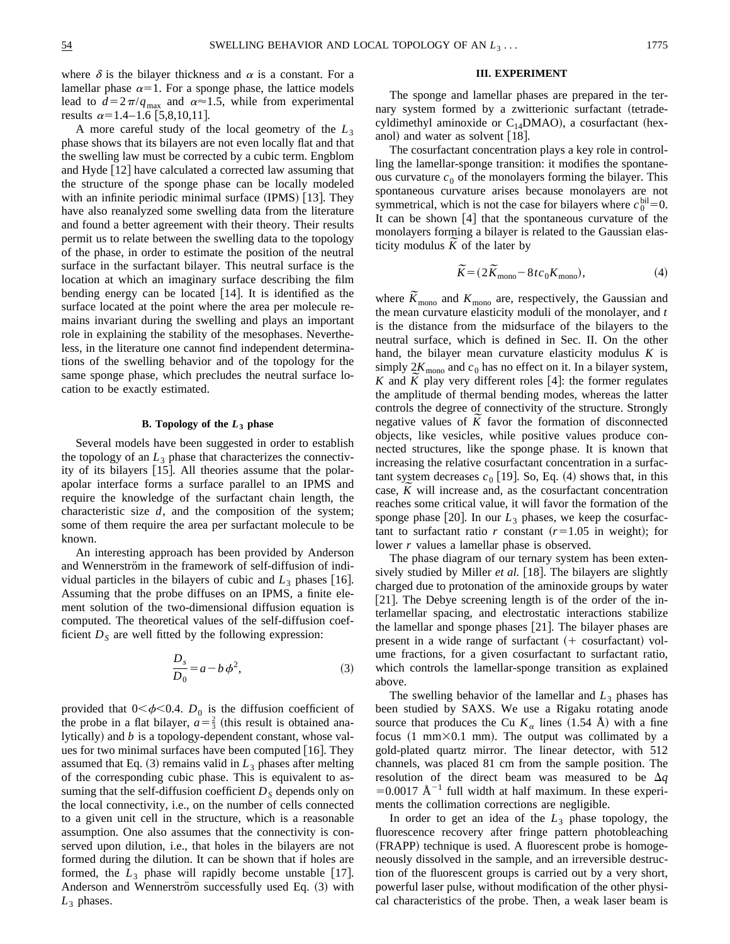where  $\delta$  is the bilayer thickness and  $\alpha$  is a constant. For a lamellar phase  $\alpha=1$ . For a sponge phase, the lattice models lead to  $d=2\pi/q_{\text{max}}$  and  $\alpha \approx 1.5$ , while from experimental results  $\alpha=1.4-1.6$  [5,8,10,11].

A more careful study of the local geometry of the *L*<sup>3</sup> phase shows that its bilayers are not even locally flat and that the swelling law must be corrected by a cubic term. Engblom and Hyde  $[12]$  have calculated a corrected law assuming that the structure of the sponge phase can be locally modeled with an infinite periodic minimal surface  $(IPMS)$  [13]. They have also reanalyzed some swelling data from the literature and found a better agreement with their theory. Their results permit us to relate between the swelling data to the topology of the phase, in order to estimate the position of the neutral surface in the surfactant bilayer. This neutral surface is the location at which an imaginary surface describing the film bending energy can be located  $[14]$ . It is identified as the surface located at the point where the area per molecule remains invariant during the swelling and plays an important role in explaining the stability of the mesophases. Nevertheless, in the literature one cannot find independent determinations of the swelling behavior and of the topology for the same sponge phase, which precludes the neutral surface location to be exactly estimated.

### **B. Topology of the** *L***<sup>3</sup> phase**

Several models have been suggested in order to establish the topology of an  $L_3$  phase that characterizes the connectivity of its bilayers  $[15]$ . All theories assume that the polarapolar interface forms a surface parallel to an IPMS and require the knowledge of the surfactant chain length, the characteristic size *d*, and the composition of the system; some of them require the area per surfactant molecule to be known.

An interesting approach has been provided by Anderson and Wennerström in the framework of self-diffusion of individual particles in the bilayers of cubic and  $L_3$  phases [16]. Assuming that the probe diffuses on an IPMS, a finite element solution of the two-dimensional diffusion equation is computed. The theoretical values of the self-diffusion coefficient  $D<sub>S</sub>$  are well fitted by the following expression:

$$
\frac{D_s}{D_0} = a - b \phi^2,\tag{3}
$$

provided that  $0<\phi<0.4$ . *D*<sub>0</sub> is the diffusion coefficient of the probe in a flat bilayer,  $a = \frac{2}{3}$  (this result is obtained analytically) and *b* is a topology-dependent constant, whose values for two minimal surfaces have been computed  $[16]$ . They assumed that Eq.  $(3)$  remains valid in  $L_3$  phases after melting of the corresponding cubic phase. This is equivalent to assuming that the self-diffusion coefficient  $D<sub>S</sub>$  depends only on the local connectivity, i.e., on the number of cells connected to a given unit cell in the structure, which is a reasonable assumption. One also assumes that the connectivity is conserved upon dilution, i.e., that holes in the bilayers are not formed during the dilution. It can be shown that if holes are formed, the  $L_3$  phase will rapidly become unstable [17]. Anderson and Wennerström successfully used Eq.  $(3)$  with  $L_3$  phases.

## **III. EXPERIMENT**

The sponge and lamellar phases are prepared in the ternary system formed by a zwitterionic surfactant (tetradecyldimethyl aminoxide or  $C_{14}$ DMAO), a cosurfactant (hexanol) and water as solvent  $[18]$ .

The cosurfactant concentration plays a key role in controlling the lamellar-sponge transition: it modifies the spontaneous curvature  $c_0$  of the monolayers forming the bilayer. This spontaneous curvature arises because monolayers are not symmetrical, which is not the case for bilayers where  $c_0^{\text{bil}}=0$ . It can be shown  $[4]$  that the spontaneous curvature of the monolayers forming a bilayer is related to the Gaussian elasticity modulus  $K$  of the later by

$$
\widetilde{K} = (2\widetilde{K}_{\text{mono}} - 8tc_0 K_{\text{mono}}),\tag{4}
$$

where  $\widetilde{K}_{\text{mono}}$  and  $K_{\text{mono}}$  are, respectively, the Gaussian and the mean curvature elasticity moduli of the monolayer, and *t* is the distance from the midsurface of the bilayers to the neutral surface, which is defined in Sec. II. On the other hand, the bilayer mean curvature elasticity modulus *K* is simply  $2K_{\text{mono}}$  and  $c_0$  has no effect on it. In a bilayer system, *K* and  $\tilde{K}$  play very different roles [4]: the former regulates the amplitude of thermal bending modes, whereas the latter controls the degree of connectivity of the structure. Strongly negative values of *K* favor the formation of disconnected objects, like vesicles, while positive values produce connected structures, like the sponge phase. It is known that increasing the relative cosurfactant concentration in a surfactant system decreases  $c_0$  [19]. So, Eq. (4) shows that, in this case,  $\bar{K}$  will increase and, as the cosurfactant concentration reaches some critical value, it will favor the formation of the sponge phase  $[20]$ . In our  $L_3$  phases, we keep the cosurfactant to surfactant ratio *r* constant  $(r=1.05$  in weight); for lower *r* values a lamellar phase is observed.

The phase diagram of our ternary system has been extensively studied by Miller *et al.* [18]. The bilayers are slightly charged due to protonation of the aminoxide groups by water [21]. The Debye screening length is of the order of the interlamellar spacing, and electrostatic interactions stabilize the lamellar and sponge phases [21]. The bilayer phases are present in a wide range of surfactant  $(+)$  cosurfactant) volume fractions, for a given cosurfactant to surfactant ratio, which controls the lamellar-sponge transition as explained above.

The swelling behavior of the lamellar and  $L_3$  phases has been studied by SAXS. We use a Rigaku rotating anode source that produces the Cu  $K_{\alpha}$  lines (1.54 Å) with a fine focus  $(1 \text{ mm} \times 0.1 \text{ mm})$ . The output was collimated by a gold-plated quartz mirror. The linear detector, with 512 channels, was placed 81 cm from the sample position. The resolution of the direct beam was measured to be  $\Delta q$ =0.0017  $\AA^{-1}$  full width at half maximum. In these experiments the collimation corrections are negligible.

In order to get an idea of the  $L_3$  phase topology, the fluorescence recovery after fringe pattern photobleaching (FRAPP) technique is used. A fluorescent probe is homogeneously dissolved in the sample, and an irreversible destruction of the fluorescent groups is carried out by a very short, powerful laser pulse, without modification of the other physical characteristics of the probe. Then, a weak laser beam is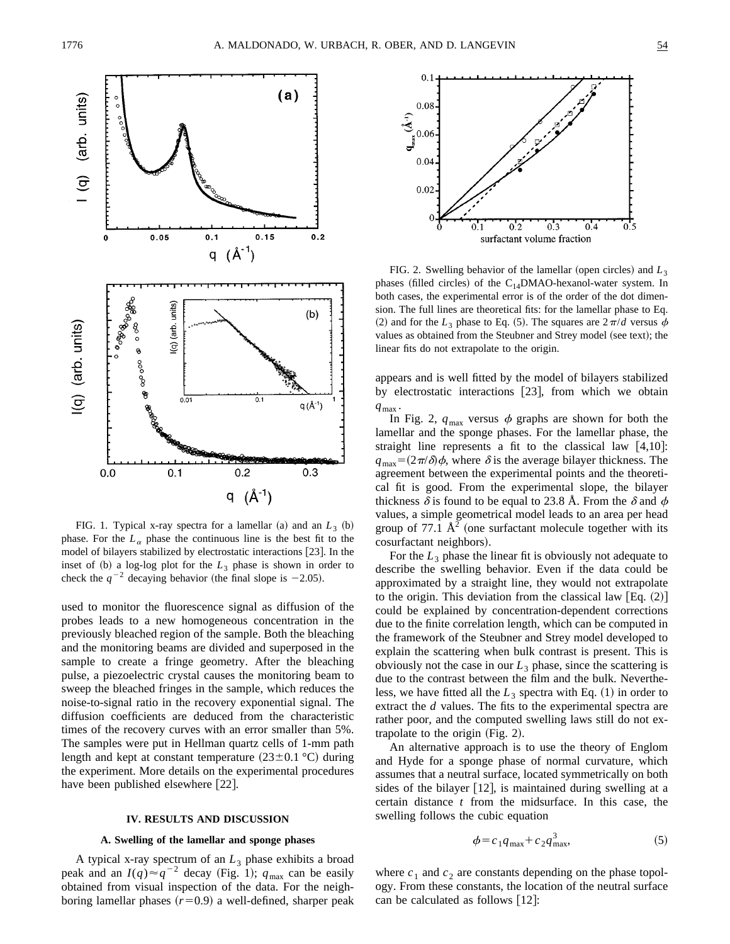

FIG. 1. Typical x-ray spectra for a lamellar (a) and an  $L_3$  (b) phase. For the  $L_{\alpha}$  phase the continuous line is the best fit to the model of bilayers stabilized by electrostatic interactions  $[23]$ . In the inset of  $(b)$  a log-log plot for the  $L_3$  phase is shown in order to check the  $q^{-2}$  decaying behavior (the final slope is -2.05).

used to monitor the fluorescence signal as diffusion of the probes leads to a new homogeneous concentration in the previously bleached region of the sample. Both the bleaching and the monitoring beams are divided and superposed in the sample to create a fringe geometry. After the bleaching pulse, a piezoelectric crystal causes the monitoring beam to sweep the bleached fringes in the sample, which reduces the noise-to-signal ratio in the recovery exponential signal. The diffusion coefficients are deduced from the characteristic times of the recovery curves with an error smaller than 5%. The samples were put in Hellman quartz cells of 1-mm path length and kept at constant temperature  $(23\pm0.1 \degree C)$  during the experiment. More details on the experimental procedures have been published elsewhere [22].

## **IV. RESULTS AND DISCUSSION**

### **A. Swelling of the lamellar and sponge phases**

A typical x-ray spectrum of an  $L_3$  phase exhibits a broad peak and an  $I(q) \approx q^{-2}$  decay (Fig. 1);  $q_{\text{max}}$  can be easily obtained from visual inspection of the data. For the neighboring lamellar phases  $(r=0.9)$  a well-defined, sharper peak



FIG. 2. Swelling behavior of the lamellar (open circles) and  $L_3$ phases (filled circles) of the  $C_{14}$ DMAO-hexanol-water system. In both cases, the experimental error is of the order of the dot dimension. The full lines are theoretical fits: for the lamellar phase to Eq. (2) and for the  $L_3$  phase to Eq. (5). The squares are  $2\pi/d$  versus  $\phi$ values as obtained from the Steubner and Strey model (see text); the linear fits do not extrapolate to the origin.

appears and is well fitted by the model of bilayers stabilized by electrostatic interactions  $[23]$ , from which we obtain  $q_{\text{max}}$ .

In Fig. 2,  $q_{\text{max}}$  versus  $\phi$  graphs are shown for both the lamellar and the sponge phases. For the lamellar phase, the straight line represents a fit to the classical law  $[4,10]$ :  $q_{\text{max}} = (2\pi/\delta)\phi$ , where  $\delta$  is the average bilayer thickness. The agreement between the experimental points and the theoretical fit is good. From the experimental slope, the bilayer thickness  $\delta$  is found to be equal to 23.8 Å. From the  $\delta$  and  $\phi$ values, a simple geometrical model leads to an area per head group of 77.1  $\mathring{A}^2$  (one surfactant molecule together with its cosurfactant neighbors).

For the  $L_3$  phase the linear fit is obviously not adequate to describe the swelling behavior. Even if the data could be approximated by a straight line, they would not extrapolate to the origin. This deviation from the classical law  $[Eq. (2)]$ could be explained by concentration-dependent corrections due to the finite correlation length, which can be computed in the framework of the Steubner and Strey model developed to explain the scattering when bulk contrast is present. This is obviously not the case in our  $L_3$  phase, since the scattering is due to the contrast between the film and the bulk. Nevertheless, we have fitted all the  $L_3$  spectra with Eq.  $(1)$  in order to extract the *d* values. The fits to the experimental spectra are rather poor, and the computed swelling laws still do not extrapolate to the origin  $(Fig. 2)$ .

An alternative approach is to use the theory of Englom and Hyde for a sponge phase of normal curvature, which assumes that a neutral surface, located symmetrically on both sides of the bilayer  $[12]$ , is maintained during swelling at a certain distance *t* from the midsurface. In this case, the swelling follows the cubic equation

$$
\phi = c_1 q_{\text{max}} + c_2 q_{\text{max}}^3,\tag{5}
$$

where  $c_1$  and  $c_2$  are constants depending on the phase topology. From these constants, the location of the neutral surface can be calculated as follows  $[12]$ :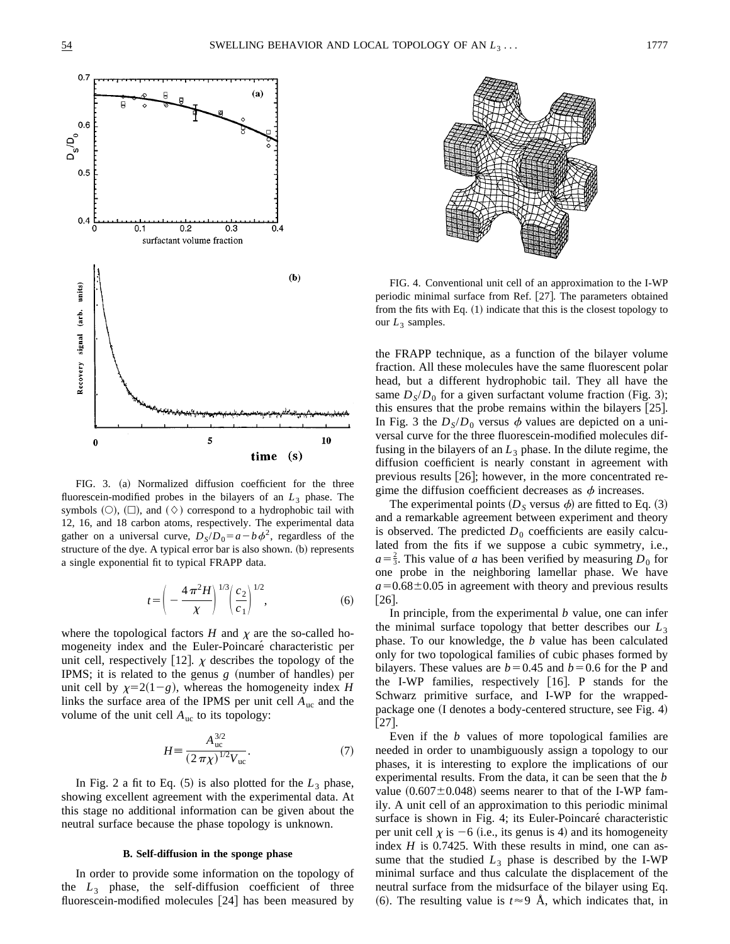

FIG. 3. (a) Normalized diffusion coefficient for the three fluorescein-modified probes in the bilayers of an *L*<sup>3</sup> phase. The symbols  $(O)$ ,  $(\Box)$ , and  $(\Diamond)$  correspond to a hydrophobic tail with 12, 16, and 18 carbon atoms, respectively. The experimental data gather on a universal curve,  $D_S/D_0 = a - b\phi^2$ , regardless of the structure of the dye. A typical error bar is also shown. (b) represents a single exponential fit to typical FRAPP data.

$$
t = \left(-\frac{4\pi^2 H}{\chi}\right)^{1/3} \left(\frac{c_2}{c_1}\right)^{1/2},\tag{6}
$$

where the topological factors  $H$  and  $\chi$  are the so-called homogeneity index and the Euler-Poincaré characteristic per unit cell, respectively [12].  $\chi$  describes the topology of the IPMS; it is related to the genus  $g$  (number of handles) per unit cell by  $\chi=2(1-g)$ , whereas the homogeneity index *H* links the surface area of the IPMS per unit cell  $A_{\text{uc}}$  and the volume of the unit cell  $A_{\text{uc}}$  to its topology:

$$
H = \frac{A_{\text{uc}}^{3/2}}{(2\pi\chi)^{1/2}V_{\text{uc}}}.
$$
 (7)

In Fig. 2 a fit to Eq.  $(5)$  is also plotted for the  $L_3$  phase, showing excellent agreement with the experimental data. At this stage no additional information can be given about the neutral surface because the phase topology is unknown.

#### **B. Self-diffusion in the sponge phase**

In order to provide some information on the topology of the  $L_3$  phase, the self-diffusion coefficient of three fluorescein-modified molecules  $[24]$  has been measured by



FIG. 4. Conventional unit cell of an approximation to the I-WP periodic minimal surface from Ref. [27]. The parameters obtained from the fits with Eq.  $(1)$  indicate that this is the closest topology to our  $L_3$  samples.

the FRAPP technique, as a function of the bilayer volume fraction. All these molecules have the same fluorescent polar head, but a different hydrophobic tail. They all have the same  $D_s/D_0$  for a given surfactant volume fraction (Fig. 3); this ensures that the probe remains within the bilayers  $[25]$ . In Fig. 3 the  $D_s/D_0$  versus  $\phi$  values are depicted on a universal curve for the three fluorescein-modified molecules diffusing in the bilayers of an  $L_3$  phase. In the dilute regime, the diffusion coefficient is nearly constant in agreement with previous results  $[26]$ ; however, in the more concentrated regime the diffusion coefficient decreases as  $\phi$  increases.

The experimental points ( $D<sub>S</sub>$  versus  $\phi$ ) are fitted to Eq. (3) and a remarkable agreement between experiment and theory is observed. The predicted  $D_0$  coefficients are easily calculated from the fits if we suppose a cubic symmetry, i.e.,  $a=\frac{2}{3}$ . This value of *a* has been verified by measuring  $D_0$  for one probe in the neighboring lamellar phase. We have  $a=0.68\pm0.05$  in agreement with theory and previous results  $|26|$ .

In principle, from the experimental *b* value, one can infer the minimal surface topology that better describes our  $L_3$ phase. To our knowledge, the *b* value has been calculated only for two topological families of cubic phases formed by bilayers. These values are  $b=0.45$  and  $b=0.6$  for the P and the I-WP families, respectively  $[16]$ . P stands for the Schwarz primitive surface, and I-WP for the wrappedpackage one  $($ I denotes a body-centered structure, see Fig. 4 $)$  $[27]$ .

Even if the *b* values of more topological families are needed in order to unambiguously assign a topology to our phases, it is interesting to explore the implications of our experimental results. From the data, it can be seen that the *b* value  $(0.607\pm0.048)$  seems nearer to that of the I-WP family. A unit cell of an approximation to this periodic minimal surface is shown in Fig. 4; its Euler-Poincaré characteristic per unit cell  $\chi$  is  $-6$  (i.e., its genus is 4) and its homogeneity index *H* is 0.7425. With these results in mind, one can assume that the studied  $L_3$  phase is described by the I-WP minimal surface and thus calculate the displacement of the neutral surface from the midsurface of the bilayer using Eq. (6). The resulting value is  $t \approx 9$  Å, which indicates that, in